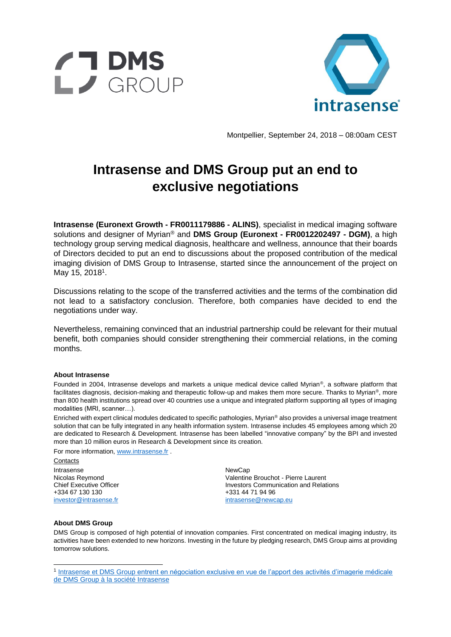



Montpellier, September 24, 2018 – 08:00am CEST

## **Intrasense and DMS Group put an end to exclusive negotiations**

**Intrasense (Euronext Growth - FR0011179886 - ALINS)**, specialist in medical imaging software solutions and designer of Myrian® and **DMS Group (Euronext - FR0012202497 - DGM)**, a high technology group serving medical diagnosis, healthcare and wellness, announce that their boards of Directors decided to put an end to discussions about the proposed contribution of the medical imaging division of DMS Group to Intrasense, started since the announcement of the project on May 15, 2018<sup>1</sup>.

Discussions relating to the scope of the transferred activities and the terms of the combination did not lead to a satisfactory conclusion. Therefore, both companies have decided to end the negotiations under way.

Nevertheless, remaining convinced that an industrial partnership could be relevant for their mutual benefit, both companies should consider strengthening their commercial relations, in the coming months.

## **About Intrasense**

Founded in 2004, Intrasense develops and markets a unique medical device called Myrian®, a software platform that facilitates diagnosis, decision-making and therapeutic follow-up and makes them more secure. Thanks to Myrian®, more than 800 health institutions spread over 40 countries use a unique and integrated platform supporting all types of imaging modalities (MRI, scanner…).

Enriched with expert clinical modules dedicated to specific pathologies, Myrian® also provides a universal image treatment solution that can be fully integrated in any health information system. Intrasense includes 45 employees among which 20 are dedicated to Research & Development. Intrasense has been labelled "innovative company" by the BPI and invested more than 10 million euros in Research & Development since its creation.

For more information[, www.intrasense.fr](http://www.intrasense.fr/) .

**Contacts** Intrasense Nicolas Reymond Chief Executive Officer +334 67 130 130 [investor@intrasense.fr](mailto:investor@intrasense.fr)

NewCap Valentine Brouchot - Pierre Laurent Investors Communication and Relations +331 44 71 94 96 [intrasense@newcap.eu](mailto:intrasense@newcap.eu)

## **About DMS Group**

l

DMS Group is composed of high potential of innovation companies. First concentrated on medical imaging industry, its activities have been extended to new horizons. Investing in the future by pledging research, DMS Group aims at providing tomorrow solutions.

<sup>&</sup>lt;sup>1</sup> Intrasense et DMS Group entrent en négociation exclusive en vue de l'apport des activités d'imagerie médicale [de DMS Group à la société Intrasense](http://www.intrasense.fr/wp-content/uploads/2018/05/DMS-Intrasense_CP_Negociations-exclusives_15052018_FR.pdf)